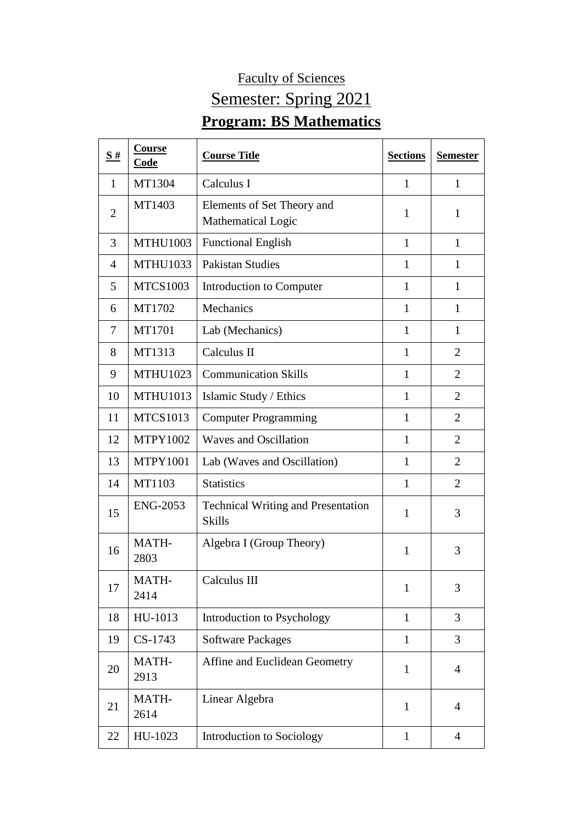## Faculty of Sciences Semester: Spring 2021 **Program: BS Mathematics**

| S#             | <b>Course</b><br><b>Code</b> | <b>Course Title</b>                                        | <b>Sections</b> | <b>Semester</b> |
|----------------|------------------------------|------------------------------------------------------------|-----------------|-----------------|
| 1              | MT1304                       | Calculus I                                                 | 1               | 1               |
| $\overline{2}$ | MT1403                       | Elements of Set Theory and<br>Mathematical Logic           | $\mathbf{1}$    | $\mathbf{1}$    |
| 3              | <b>MTHU1003</b>              | <b>Functional English</b>                                  | $\mathbf{1}$    | $\mathbf{1}$    |
| 4              | <b>MTHU1033</b>              | <b>Pakistan Studies</b>                                    | 1               | 1               |
| 5              | <b>MTCS1003</b>              | Introduction to Computer                                   | $\mathbf{1}$    | 1               |
| 6              | MT1702                       | Mechanics                                                  | $\mathbf{1}$    | $\mathbf{1}$    |
| 7              | MT1701                       | Lab (Mechanics)                                            | $\mathbf{1}$    | $\mathbf{1}$    |
| 8              | MT1313                       | Calculus II                                                | $\mathbf{1}$    | $\overline{2}$  |
| 9              | <b>MTHU1023</b>              | <b>Communication Skills</b>                                | $\mathbf{1}$    | $\overline{2}$  |
| 10             | <b>MTHU1013</b>              | Islamic Study / Ethics                                     | $\mathbf{1}$    | $\overline{2}$  |
| 11             | <b>MTCS1013</b>              | <b>Computer Programming</b>                                | $\mathbf{1}$    | $\overline{2}$  |
| 12             | <b>MTPY1002</b>              | <b>Waves and Oscillation</b>                               | 1               | $\overline{2}$  |
| 13             | <b>MTPY1001</b>              | Lab (Waves and Oscillation)                                | 1               | $\overline{2}$  |
| 14             | MT1103                       | <b>Statistics</b>                                          | $\mathbf{1}$    | $\overline{2}$  |
| 15             | <b>ENG-2053</b>              | <b>Technical Writing and Presentation</b><br><b>Skills</b> | $\mathbf{1}$    | 3               |
| 16             | MATH-<br>2803                | Algebra I (Group Theory)                                   | $\mathbf{1}$    | 3               |
| 17             | <b>MATH-</b><br>2414         | Calculus III                                               | $\mathbf{1}$    | 3               |
| 18             | HU-1013                      | Introduction to Psychology                                 | $\mathbf{1}$    | 3               |
| 19             | CS-1743                      | <b>Software Packages</b>                                   | $\mathbf{1}$    | 3               |
| 20             | MATH-<br>2913                | Affine and Euclidean Geometry                              | $\mathbf{1}$    | $\overline{4}$  |
| 21             | MATH-<br>2614                | Linear Algebra                                             | $\mathbf{1}$    | $\overline{4}$  |
| 22             | HU-1023                      | Introduction to Sociology                                  | $\mathbf{1}$    | $\overline{4}$  |